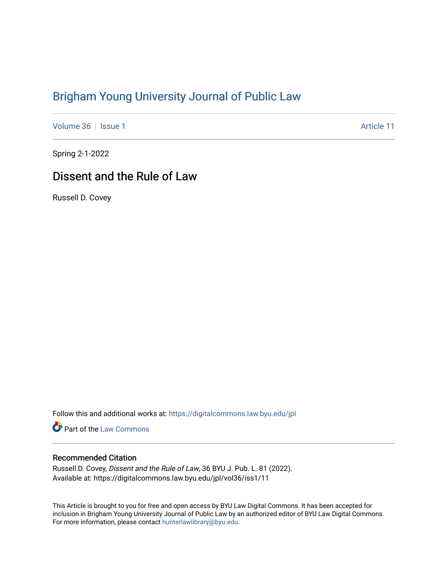# [Brigham Young University Journal of Public Law](https://digitalcommons.law.byu.edu/jpl)

[Volume 36](https://digitalcommons.law.byu.edu/jpl/vol36) | [Issue 1](https://digitalcommons.law.byu.edu/jpl/vol36/iss1) Article 11

Spring 2-1-2022

# Dissent and the Rule of Law

Russell D. Covey

Follow this and additional works at: [https://digitalcommons.law.byu.edu/jpl](https://digitalcommons.law.byu.edu/jpl?utm_source=digitalcommons.law.byu.edu%2Fjpl%2Fvol36%2Fiss1%2F11&utm_medium=PDF&utm_campaign=PDFCoverPages) 

**C** Part of the [Law Commons](http://network.bepress.com/hgg/discipline/578?utm_source=digitalcommons.law.byu.edu%2Fjpl%2Fvol36%2Fiss1%2F11&utm_medium=PDF&utm_campaign=PDFCoverPages)

### Recommended Citation

Russell D. Covey, Dissent and the Rule of Law, 36 BYU J. Pub. L. 81 (2022). Available at: https://digitalcommons.law.byu.edu/jpl/vol36/iss1/11

This Article is brought to you for free and open access by BYU Law Digital Commons. It has been accepted for inclusion in Brigham Young University Journal of Public Law by an authorized editor of BYU Law Digital Commons. For more information, please contact [hunterlawlibrary@byu.edu](mailto:hunterlawlibrary@byu.edu).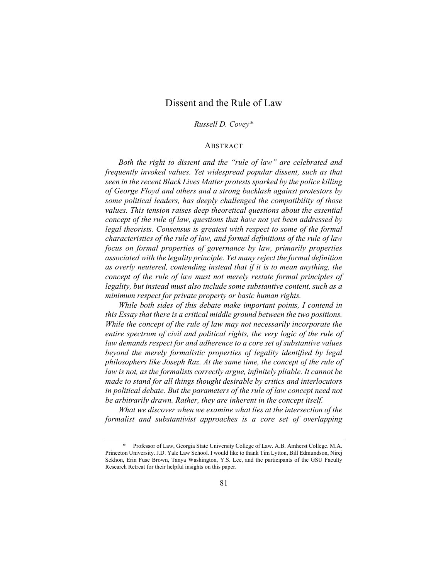# Dissent and the Rule of Law

#### *Russell D. Covey\**

#### ABSTRACT

*Both the right to dissent and the "rule of law" are celebrated and frequently invoked values. Yet widespread popular dissent, such as that seen in the recent Black Lives Matter protests sparked by the police killing of George Floyd and others and a strong backlash against protestors by some political leaders, has deeply challenged the compatibility of those values. This tension raises deep theoretical questions about the essential concept of the rule of law, questions that have not yet been addressed by legal theorists. Consensus is greatest with respect to some of the formal characteristics of the rule of law, and formal definitions of the rule of law focus on formal properties of governance by law, primarily properties associated with the legality principle. Yet many reject the formal definition as overly neutered, contending instead that if it is to mean anything, the concept of the rule of law must not merely restate formal principles of legality, but instead must also include some substantive content, such as a minimum respect for private property or basic human rights.*

*While both sides of this debate make important points, I contend in this Essay that there is a critical middle ground between the two positions. While the concept of the rule of law may not necessarily incorporate the*  entire spectrum of civil and political rights, the very logic of the rule of *law demands respect for and adherence to a core set of substantive values beyond the merely formalistic properties of legality identified by legal philosophers like Joseph Raz. At the same time, the concept of the rule of law is not, as the formalists correctly argue, infinitely pliable. It cannot be made to stand for all things thought desirable by critics and interlocutors in political debate. But the parameters of the rule of law concept need not be arbitrarily drawn. Rather, they are inherent in the concept itself.*

*What we discover when we examine what lies at the intersection of the formalist and substantivist approaches is a core set of overlapping* 

<sup>\*</sup> Professor of Law, Georgia State University College of Law. A.B. Amherst College. M.A. Princeton University. J.D. Yale Law School. I would like to thank Tim Lytton, Bill Edmundson, Nirej Sekhon, Erin Fuse Brown, Tanya Washington, Y.S. Lee, and the participants of the GSU Faculty Research Retreat for their helpful insights on this paper.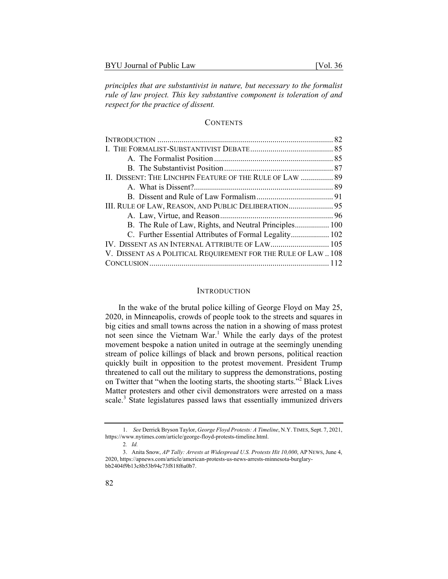*principles that are substantivist in nature, but necessary to the formalist rule of law project. This key substantive component is toleration of and respect for the practice of dissent.* 

#### **CONTENTS**

| II. DISSENT: THE LINCHPIN FEATURE OF THE RULE OF LAW  89       |  |
|----------------------------------------------------------------|--|
|                                                                |  |
|                                                                |  |
| III. RULE OF LAW, REASON, AND PUBLIC DELIBERATION 95           |  |
|                                                                |  |
| B. The Rule of Law, Rights, and Neutral Principles 100         |  |
| C. Further Essential Attributes of Formal Legality 102         |  |
|                                                                |  |
| V. DISSENT AS A POLITICAL REQUIREMENT FOR THE RULE OF LAW  108 |  |
|                                                                |  |

#### INTRODUCTION

In the wake of the brutal police killing of George Floyd on May 25, 2020, in Minneapolis, crowds of people took to the streets and squares in big cities and small towns across the nation in a showing of mass protest not seen since the Vietnam War.<sup>1</sup> While the early days of the protest movement bespoke a nation united in outrage at the seemingly unending stream of police killings of black and brown persons, political reaction quickly built in opposition to the protest movement. President Trump threatened to call out the military to suppress the demonstrations, posting on Twitter that "when the looting starts, the shooting starts."<sup>2</sup> Black Lives Matter protesters and other civil demonstrators were arrested on a mass scale.<sup>3</sup> State legislatures passed laws that essentially immunized drivers

<sup>1.</sup> *See* Derrick Bryson Taylor, *George Floyd Protests: A Timeline*, N.Y. TIMES, Sept. 7, 2021, https://www.nytimes.com/article/george-floyd-protests-timeline.html.

<sup>2</sup>*. Id.*

<sup>3.</sup> Anita Snow, *AP Tally: Arrests at Widespread U.S. Protests Hit 10,000*, AP NEWS, June 4, 2020, https://apnews.com/article/american-protests-us-news-arrests-minnesota-burglarybb2404f9b13c8b53b94c73f818f6a0b7.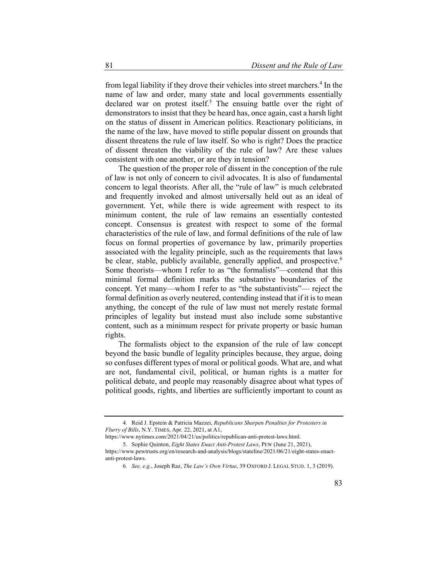from legal liability if they drove their vehicles into street marchers.<sup>4</sup> In the name of law and order, many state and local governments essentially declared war on protest itself.<sup>5</sup> The ensuing battle over the right of demonstrators to insist that they be heard has, once again, cast a harsh light on the status of dissent in American politics. Reactionary politicians, in the name of the law, have moved to stifle popular dissent on grounds that dissent threatens the rule of law itself. So who is right? Does the practice of dissent threaten the viability of the rule of law? Are these values consistent with one another, or are they in tension?

The question of the proper role of dissent in the conception of the rule of law is not only of concern to civil advocates. It is also of fundamental concern to legal theorists. After all, the "rule of law" is much celebrated and frequently invoked and almost universally held out as an ideal of government. Yet, while there is wide agreement with respect to its minimum content, the rule of law remains an essentially contested concept. Consensus is greatest with respect to some of the formal characteristics of the rule of law, and formal definitions of the rule of law focus on formal properties of governance by law, primarily properties associated with the legality principle, such as the requirements that laws be clear, stable, publicly available, generally applied, and prospective.<sup>6</sup> Some theorists—whom I refer to as "the formalists"—contend that this minimal formal definition marks the substantive boundaries of the concept. Yet many—whom I refer to as "the substantivists"— reject the formal definition as overly neutered, contending instead that if it is to mean anything, the concept of the rule of law must not merely restate formal principles of legality but instead must also include some substantive content, such as a minimum respect for private property or basic human rights.

The formalists object to the expansion of the rule of law concept beyond the basic bundle of legality principles because, they argue, doing so confuses different types of moral or political goods. What are, and what are not, fundamental civil, political, or human rights is a matter for political debate, and people may reasonably disagree about what types of political goods, rights, and liberties are sufficiently important to count as

<sup>4.</sup> Reid J. Epstein & Patricia Mazzei, *Republicans Sharpen Penalties for Protesters in Flurry of Bills*, N.Y. TIMES, Apr. 22, 2021, at A1,

https://www.nytimes.com/2021/04/21/us/politics/republican-anti-protest-laws.html. 5. Sophie Quinton, *Eight States Enact Anti-Protest Laws*, PEW (June 21, 2021),

https://www.pewtrusts.org/en/research-and-analysis/blogs/stateline/2021/06/21/eight-states-enactanti-protest-laws.

<sup>6</sup>*. See, e.g*., Joseph Raz, *The Law's Own Virtue*, 39 OXFORD J. LEGAL STUD. 1, 3 (2019).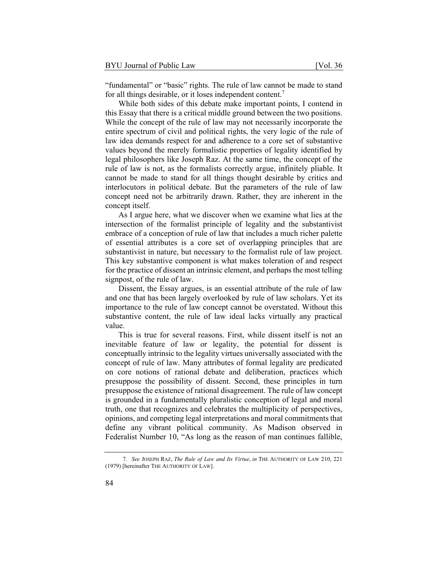"fundamental" or "basic" rights. The rule of law cannot be made to stand for all things desirable, or it loses independent content.<sup>7</sup>

While both sides of this debate make important points, I contend in this Essay that there is a critical middle ground between the two positions. While the concept of the rule of law may not necessarily incorporate the entire spectrum of civil and political rights, the very logic of the rule of law idea demands respect for and adherence to a core set of substantive values beyond the merely formalistic properties of legality identified by legal philosophers like Joseph Raz. At the same time, the concept of the rule of law is not, as the formalists correctly argue, infinitely pliable. It cannot be made to stand for all things thought desirable by critics and interlocutors in political debate. But the parameters of the rule of law concept need not be arbitrarily drawn. Rather, they are inherent in the concept itself.

As I argue here, what we discover when we examine what lies at the intersection of the formalist principle of legality and the substantivist embrace of a conception of rule of law that includes a much richer palette of essential attributes is a core set of overlapping principles that are substantivist in nature, but necessary to the formalist rule of law project. This key substantive component is what makes toleration of and respect for the practice of dissent an intrinsic element, and perhaps the most telling signpost, of the rule of law.

Dissent, the Essay argues, is an essential attribute of the rule of law and one that has been largely overlooked by rule of law scholars. Yet its importance to the rule of law concept cannot be overstated. Without this substantive content, the rule of law ideal lacks virtually any practical value.

This is true for several reasons. First, while dissent itself is not an inevitable feature of law or legality, the potential for dissent is conceptually intrinsic to the legality virtues universally associated with the concept of rule of law. Many attributes of formal legality are predicated on core notions of rational debate and deliberation, practices which presuppose the possibility of dissent. Second, these principles in turn presuppose the existence of rational disagreement. The rule of law concept is grounded in a fundamentally pluralistic conception of legal and moral truth, one that recognizes and celebrates the multiplicity of perspectives, opinions, and competing legal interpretations and moral commitments that define any vibrant political community. As Madison observed in Federalist Number 10, "As long as the reason of man continues fallible,

<sup>7</sup>*. See* JOSEPH RAZ, *The Rule of Law and Its Virtue*, *in* THE AUTHORITY OF LAW 210, 221 (1979) [hereinafter THE AUTHORITY OF LAW].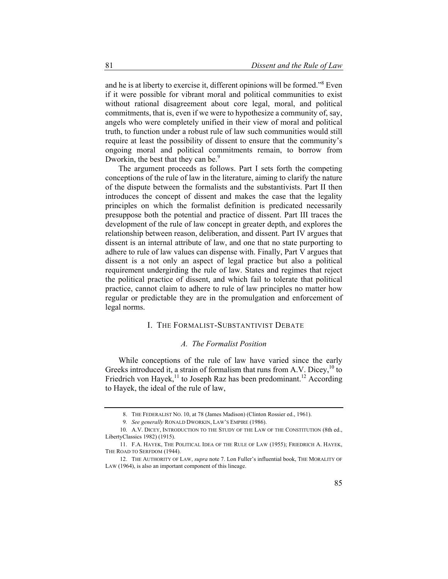and he is at liberty to exercise it, different opinions will be formed."<sup>8</sup> Even if it were possible for vibrant moral and political communities to exist without rational disagreement about core legal, moral, and political commitments, that is, even if we were to hypothesize a community of, say, angels who were completely unified in their view of moral and political truth, to function under a robust rule of law such communities would still require at least the possibility of dissent to ensure that the community's ongoing moral and political commitments remain, to borrow from Dworkin, the best that they can be.<sup>9</sup>

The argument proceeds as follows. Part I sets forth the competing conceptions of the rule of law in the literature, aiming to clarify the nature of the dispute between the formalists and the substantivists. Part II then introduces the concept of dissent and makes the case that the legality principles on which the formalist definition is predicated necessarily presuppose both the potential and practice of dissent. Part III traces the development of the rule of law concept in greater depth, and explores the relationship between reason, deliberation, and dissent. Part IV argues that dissent is an internal attribute of law, and one that no state purporting to adhere to rule of law values can dispense with. Finally, Part V argues that dissent is a not only an aspect of legal practice but also a political requirement undergirding the rule of law. States and regimes that reject the political practice of dissent, and which fail to tolerate that political practice, cannot claim to adhere to rule of law principles no matter how regular or predictable they are in the promulgation and enforcement of legal norms.

## I. THE FORMALIST-SUBSTANTIVIST DEBATE

#### *A. The Formalist Position*

While conceptions of the rule of law have varied since the early Greeks introduced it, a strain of formalism that runs from A.V. Dicey,  $10$  to Friedrich von Hayek,<sup>11</sup> to Joseph Raz has been predominant.<sup>12</sup> According to Hayek, the ideal of the rule of law,

<sup>8.</sup> THE FEDERALIST NO. 10, at 78 (James Madison) (Clinton Rossier ed., 1961).

<sup>9</sup>*. See generally* RONALD DWORKIN, LAW'S EMPIRE (1986).

<sup>10.</sup> A.V. DICEY, INTRODUCTION TO THE STUDY OF THE LAW OF THE CONSTITUTION (8th ed., LibertyClassics 1982) (1915).

<sup>11.</sup> F.A. HAYEK, THE POLITICAL IDEA OF THE RULE OF LAW (1955); FRIEDRICH A. HAYEK, THE ROAD TO SERFDOM (1944).

<sup>12.</sup> THE AUTHORITY OF LAW, *supra* note 7. Lon Fuller's influential book, THE MORALITY OF LAW (1964), is also an important component of this lineage.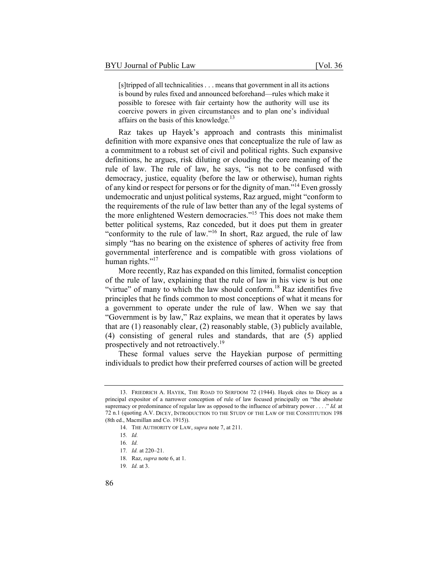[s]tripped of all technicalities . . . means that government in all its actions is bound by rules fixed and announced beforehand—rules which make it possible to foresee with fair certainty how the authority will use its coercive powers in given circumstances and to plan one's individual affairs on the basis of this knowledge.<sup>13</sup>

Raz takes up Hayek's approach and contrasts this minimalist definition with more expansive ones that conceptualize the rule of law as a commitment to a robust set of civil and political rights. Such expansive definitions, he argues, risk diluting or clouding the core meaning of the rule of law. The rule of law, he says, "is not to be confused with democracy, justice, equality (before the law or otherwise), human rights of any kind or respect for persons or for the dignity of man."<sup>14</sup> Even grossly undemocratic and unjust political systems, Raz argued, might "conform to the requirements of the rule of law better than any of the legal systems of the more enlightened Western democracies."15 This does not make them better political systems, Raz conceded, but it does put them in greater "conformity to the rule of law."16 In short, Raz argued, the rule of law simply "has no bearing on the existence of spheres of activity free from governmental interference and is compatible with gross violations of human rights."<sup>17</sup>

More recently, Raz has expanded on this limited, formalist conception of the rule of law, explaining that the rule of law in his view is but one "virtue" of many to which the law should conform.<sup>18</sup> Raz identifies five principles that he finds common to most conceptions of what it means for a government to operate under the rule of law. When we say that "Government is by law," Raz explains, we mean that it operates by laws that are (1) reasonably clear, (2) reasonably stable, (3) publicly available, (4) consisting of general rules and standards, that are (5) applied prospectively and not retroactively.<sup>19</sup>

These formal values serve the Hayekian purpose of permitting individuals to predict how their preferred courses of action will be greeted

<sup>13.</sup> FRIEDRICH A. HAYEK, THE ROAD TO SERFDOM 72 (1944). Hayek cites to Dicey as a principal expositor of a narrower conception of rule of law focused principally on "the absolute supremacy or predominance of regular law as opposed to the influence of arbitrary power . . . ." *Id.* at 72 n.1 (quoting A.V. DICEY, INTRODUCTION TO THE STUDY OF THE LAW OF THE CONSTITUTION 198 (8th ed., Macmillan and Co. 1915)).

<sup>14.</sup> THE AUTHORITY OF LAW, *supra* note 7, at 211.

<sup>15</sup>*. Id.*

<sup>16</sup>*. Id.*

<sup>17</sup>*. Id.* at 220–21.

<sup>18.</sup> Raz, *supra* note 6, at 1.

<sup>19</sup>*. Id.* at 3.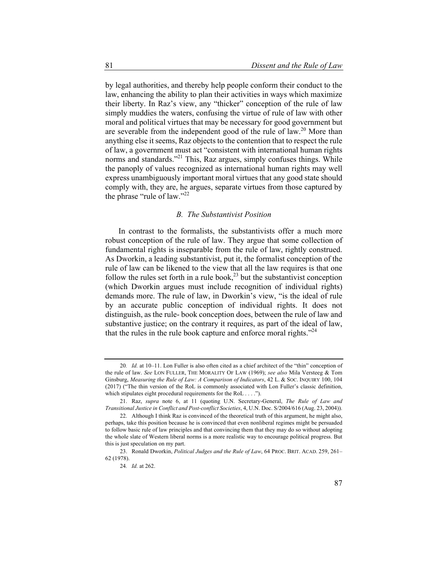by legal authorities, and thereby help people conform their conduct to the law, enhancing the ability to plan their activities in ways which maximize their liberty. In Raz's view, any "thicker" conception of the rule of law simply muddies the waters, confusing the virtue of rule of law with other moral and political virtues that may be necessary for good government but are severable from the independent good of the rule of law.<sup>20</sup> More than anything else it seems, Raz objects to the contention that to respect the rule of law, a government must act "consistent with international human rights norms and standards."<sup>21</sup> This, Raz argues, simply confuses things. While the panoply of values recognized as international human rights may well express unambiguously important moral virtues that any good state should comply with, they are, he argues, separate virtues from those captured by the phrase "rule of law."<sup>22</sup>

#### *B. The Substantivist Position*

In contrast to the formalists, the substantivists offer a much more robust conception of the rule of law. They argue that some collection of fundamental rights is inseparable from the rule of law, rightly construed. As Dworkin, a leading substantivist, put it, the formalist conception of the rule of law can be likened to the view that all the law requires is that one follow the rules set forth in a rule book,<sup>23</sup> but the substantivist conception (which Dworkin argues must include recognition of individual rights) demands more. The rule of law, in Dworkin's view, "is the ideal of rule by an accurate public conception of individual rights. It does not distinguish, as the rule- book conception does, between the rule of law and substantive justice; on the contrary it requires, as part of the ideal of law, that the rules in the rule book capture and enforce moral rights. $124$ 

<sup>20</sup>*. Id.* at 10–11. Lon Fuller is also often cited as a chief architect of the "thin" conception of the rule of law. *See* LON FULLER, THE MORALITY OF LAW (1969); *see also* Mila Versteeg & Tom Ginsburg, *Measuring the Rule of Law: A Comparison of Indicators*, 42 L. & SOC. INQUIRY 100, 104 (2017) ("The thin version of the RoL is commonly associated with Lon Fuller's classic definition, which stipulates eight procedural requirements for the RoL . . . .").

<sup>21.</sup> Raz, *supra* note 6, at 11 (quoting U.N. Secretary-General, *The Rule of Law and Transitional Justice in Conflict and Post-conflict Societies*, 4, U.N. Doc. S/2004/616 (Aug. 23, 2004)).

<sup>22.</sup> Although I think Raz is convinced of the theoretical truth of this argument, he might also, perhaps, take this position because he is convinced that even nonliberal regimes might be persuaded to follow basic rule of law principles and that convincing them that they may do so without adopting the whole slate of Western liberal norms is a more realistic way to encourage political progress. But this is just speculation on my part.

<sup>23.</sup> Ronald Dworkin, *Political Judges and the Rule of Law*, 64 PROC. BRIT. ACAD. 259, 261– 62 (1978).

<sup>24</sup>*. Id.* at 262.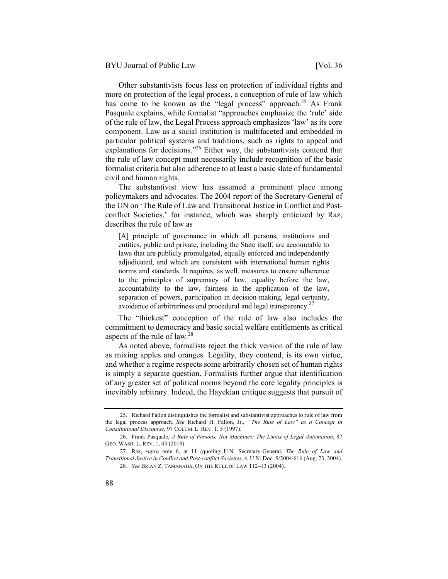Other substantivists focus less on protection of individual rights and more on protection of the legal process, a conception of rule of law which has come to be known as the "legal process" approach.<sup>25</sup> As Frank Pasquale explains, while formalist "approaches emphasize the 'rule' side of the rule of law, the Legal Process approach emphasizes 'law' as its core component. Law as a social institution is multifaceted and embedded in particular political systems and traditions, such as rights to appeal and explanations for decisions."<sup>26</sup> Either way, the substantivists contend that the rule of law concept must necessarily include recognition of the basic formalist criteria but also adherence to at least a basic slate of fundamental civil and human rights.

The substantivist view has assumed a prominent place among policymakers and advocates. The 2004 report of the Secretary-General of the UN on 'The Rule of Law and Transitional Justice in Conflict and Postconflict Societies,' for instance, which was sharply criticized by Raz, describes the rule of law as

[A] principle of governance in which all persons, institutions and entities, public and private, including the State itself, are accountable to laws that are publicly promulgated, equally enforced and independently adjudicated, and which are consistent with international human rights norms and standards. It requires, as well, measures to ensure adherence to the principles of supremacy of law, equality before the law, accountability to the law, fairness in the application of the law, separation of powers, participation in decision-making, legal certainty, avoidance of arbitrariness and procedural and legal transparency.<sup>27</sup>

The "thickest" conception of the rule of law also includes the commitment to democracy and basic social welfare entitlements as critical aspects of the rule of law.28

As noted above, formalists reject the thick version of the rule of law as mixing apples and oranges. Legality, they contend, is its own virtue, and whether a regime respects some arbitrarily chosen set of human rights is simply a separate question. Formalists further argue that identification of any greater set of political norms beyond the core legality principles is inevitably arbitrary. Indeed, the Hayekian critique suggests that pursuit of

<sup>25.</sup> Richard Fallon distinguishes the formalist and substantivist approaches to rule of law from the legal process approach. *See* Richard H. Fallon, Jr., *''The Rule of Law" as a Concept in Constitutional Discourse*, 97 COLUM. L. REV. 1, 5 (1997).

<sup>26.</sup> Frank Pasquale, *A Rule of Persons, Not Machines: The Limits of Legal Automation*, 87 GEO. WASH. L. REV. 1, 45 (2019).

<sup>27.</sup> Raz, *supra* note 6, at 11 (quoting U.N. Secretary-General, *The Rule of Law and Transitional Justice in Conflict and Post-conflict Societies*, 4, U.N. Doc. S/2004/616 (Aug. 23, 2004). 28*. See* BRIAN Z. TAMANAHA, ON THE RULE OF LAW 112–13 (2004).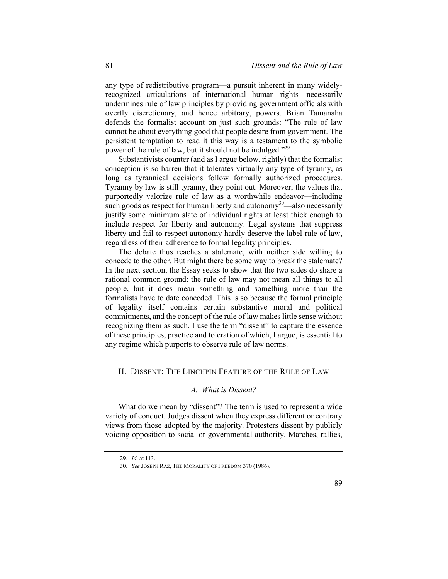any type of redistributive program—a pursuit inherent in many widelyrecognized articulations of international human rights—necessarily undermines rule of law principles by providing government officials with overtly discretionary, and hence arbitrary, powers. Brian Tamanaha defends the formalist account on just such grounds: "The rule of law cannot be about everything good that people desire from government. The persistent temptation to read it this way is a testament to the symbolic power of the rule of law, but it should not be indulged."<sup>29</sup>

Substantivists counter (and as I argue below, rightly) that the formalist conception is so barren that it tolerates virtually any type of tyranny, as long as tyrannical decisions follow formally authorized procedures. Tyranny by law is still tyranny, they point out. Moreover, the values that purportedly valorize rule of law as a worthwhile endeavor—including such goods as respect for human liberty and autonomy $30$ —also necessarily justify some minimum slate of individual rights at least thick enough to include respect for liberty and autonomy. Legal systems that suppress liberty and fail to respect autonomy hardly deserve the label rule of law, regardless of their adherence to formal legality principles.

The debate thus reaches a stalemate, with neither side willing to concede to the other. But might there be some way to break the stalemate? In the next section, the Essay seeks to show that the two sides do share a rational common ground: the rule of law may not mean all things to all people, but it does mean something and something more than the formalists have to date conceded. This is so because the formal principle of legality itself contains certain substantive moral and political commitments, and the concept of the rule of law makes little sense without recognizing them as such. I use the term "dissent" to capture the essence of these principles, practice and toleration of which, I argue, is essential to any regime which purports to observe rule of law norms.

#### II. DISSENT: THE LINCHPIN FEATURE OF THE RULE OF LAW

#### *A. What is Dissent?*

What do we mean by "dissent"? The term is used to represent a wide variety of conduct. Judges dissent when they express different or contrary views from those adopted by the majority. Protesters dissent by publicly voicing opposition to social or governmental authority. Marches, rallies,

<sup>29</sup>*. Id.* at 113.

<sup>30</sup>*. See* JOSEPH RAZ, THE MORALITY OF FREEDOM 370 (1986).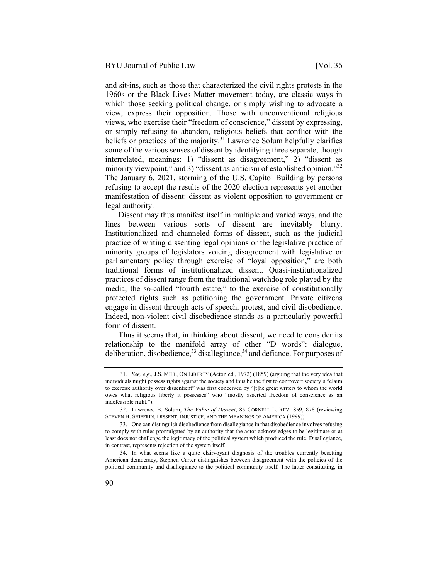and sit-ins, such as those that characterized the civil rights protests in the 1960s or the Black Lives Matter movement today, are classic ways in which those seeking political change, or simply wishing to advocate a view, express their opposition. Those with unconventional religious views, who exercise their "freedom of conscience," dissent by expressing, or simply refusing to abandon, religious beliefs that conflict with the beliefs or practices of the majority.<sup>31</sup> Lawrence Solum helpfully clarifies some of the various senses of dissent by identifying three separate, though interrelated, meanings: 1) "dissent as disagreement," 2) "dissent as minority viewpoint," and 3) "dissent as criticism of established opinion."<sup>32</sup> The January 6, 2021, storming of the U.S. Capitol Building by persons refusing to accept the results of the 2020 election represents yet another manifestation of dissent: dissent as violent opposition to government or legal authority.

Dissent may thus manifest itself in multiple and varied ways, and the lines between various sorts of dissent are inevitably blurry. Institutionalized and channeled forms of dissent, such as the judicial practice of writing dissenting legal opinions or the legislative practice of minority groups of legislators voicing disagreement with legislative or parliamentary policy through exercise of "loyal opposition," are both traditional forms of institutionalized dissent. Quasi-institutionalized practices of dissent range from the traditional watchdog role played by the media, the so-called "fourth estate," to the exercise of constitutionally protected rights such as petitioning the government. Private citizens engage in dissent through acts of speech, protest, and civil disobedience. Indeed, non-violent civil disobedience stands as a particularly powerful form of dissent.

Thus it seems that, in thinking about dissent, we need to consider its relationship to the manifold array of other "D words": dialogue, deliberation, disobedience,  $33$  disallegiance,  $34$  and defiance. For purposes of

<sup>31</sup>*. See, e.g*., J.S. MILL, ON LIBERTY (Acton ed., 1972) (1859) (arguing that the very idea that individuals might possess rights against the society and thus be the first to controvert society's "claim to exercise authority over dissentient" was first conceived by "[t]he great writers to whom the world owes what religious liberty it possesses" who "mostly asserted freedom of conscience as an indefeasible right.").

<sup>32.</sup> Lawrence B. Solum, *The Value of Dissent*, 85 CORNELL L. REV. 859, 878 (reviewing STEVEN H. SHIFFRIN, DISSENT, INJUSTICE, AND THE MEANINGS OF AMERICA (1999)).

<sup>33.</sup> One can distinguish disobedience from disallegiance in that disobedience involves refusing to comply with rules promulgated by an authority that the actor acknowledges to be legitimate or at least does not challenge the legitimacy of the political system which produced the rule. Disallegiance, in contrast, represents rejection of the system itself.

<sup>34.</sup> In what seems like a quite clairvoyant diagnosis of the troubles currently besetting American democracy, Stephen Carter distinguishes between disagreement with the policies of the political community and disallegiance to the political community itself. The latter constituting, in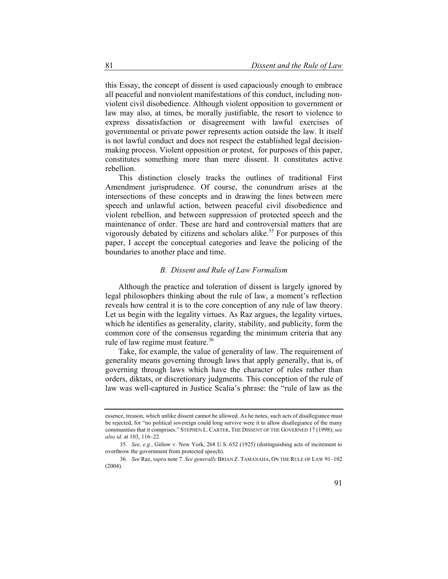this Essay, the concept of dissent is used capaciously enough to embrace all peaceful and nonviolent manifestations of this conduct, including nonviolent civil disobedience. Although violent opposition to government or law may also, at times, be morally justifiable, the resort to violence to express dissatisfaction or disagreement with lawful exercises of governmental or private power represents action outside the law. It itself is not lawful conduct and does not respect the established legal decisionmaking process. Violent opposition or protest, for purposes of this paper, constitutes something more than mere dissent. It constitutes active rebellion.

This distinction closely tracks the outlines of traditional First Amendment jurisprudence. Of course, the conundrum arises at the intersections of these concepts and in drawing the lines between mere speech and unlawful action, between peaceful civil disobedience and violent rebellion, and between suppression of protected speech and the maintenance of order. These are hard and controversial matters that are vigorously debated by citizens and scholars alike.<sup>35</sup> For purposes of this paper, I accept the conceptual categories and leave the policing of the boundaries to another place and time.

#### *B. Dissent and Rule of Law Formalism*

Although the practice and toleration of dissent is largely ignored by legal philosophers thinking about the rule of law, a moment's reflection reveals how central it is to the core conception of any rule of law theory. Let us begin with the legality virtues. As Raz argues, the legality virtues, which he identifies as generality, clarity, stability, and publicity, form the common core of the consensus regarding the minimum criteria that any rule of law regime must feature.<sup>36</sup>

Take, for example, the value of generality of law. The requirement of generality means governing through laws that apply generally, that is, of governing through laws which have the character of rules rather than orders, diktats, or discretionary judgments. This conception of the rule of law was well-captured in Justice Scalia's phrase: the "rule of law as the

essence, treason, which unlike dissent cannot be allowed. As he notes, such acts of disallegiance must be rejected, for "no political sovereign could long survive were it to allow disallegiance of the many communities that it comprises." STEPHEN L. CARTER, THE DISSENT OF THE GOVERNED 17 (1998); *see also id.* at 103, 116–22.

<sup>35</sup>*. See, e.g.*, Gitlow v. New York, 268 U.S. 652 (1925) (distinguishing acts of incitement to overthrow the government from protected speech).

<sup>36</sup>*. See* Raz, *supra* note 7. *See generally* BRIAN Z. TAMANAHA, ON THE RULE OF LAW 91–102 (2004).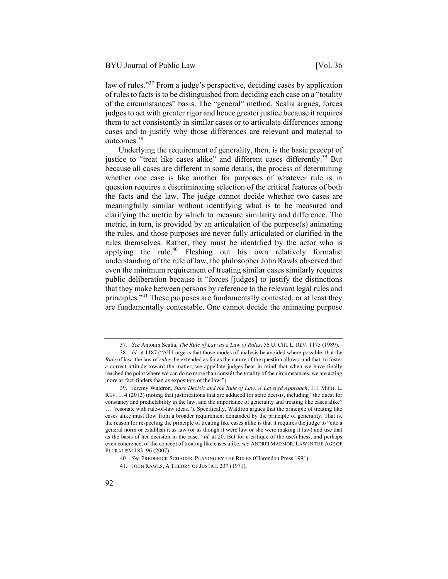law of rules."37 From a judge's perspective, deciding cases by application of rules to facts is to be distinguished from deciding each case on a "totality of the circumstances" basis. The "general" method, Scalia argues, forces judges to act with greater rigor and hence greater justice because it requires them to act consistently in similar cases or to articulate differences among cases and to justify why those differences are relevant and material to outcomes.<sup>38</sup>

Underlying the requirement of generality, then, is the basic precept of justice to "treat like cases alike" and different cases differently.<sup>39</sup> But because all cases are different in some details, the process of determining whether one case is like another for purposes of whatever rule is in question requires a discriminating selection of the critical features of both the facts and the law. The judge cannot decide whether two cases are meaningfully similar without identifying what is to be measured and clarifying the metric by which to measure similarity and difference. The metric, in turn, is provided by an articulation of the purpose(s) animating the rules, and those purposes are never fully articulated or clarified in the rules themselves. Rather, they must be identified by the actor who is applying the rule.<sup>40</sup> Fleshing out his own relatively formalist understanding of the rule of law, the philosopher John Rawls observed that even the minimum requirement of treating similar cases similarly requires public deliberation because it "forces [judges] to justify the distinctions that they make between persons by reference to the relevant legal rules and principles."<sup>41</sup> These purposes are fundamentally contested, or at least they are fundamentally contestable. One cannot decide the animating purpose

<sup>37</sup>*. See* Antonin Scalia, *The Rule of Law as a Law of Rules*, 56 U. CHI. L. REV. 1175 (1989).

<sup>38</sup>*. Id.* at 1187 ("All I urge is that those modes of analysis be avoided where possible; that the *Rule* of law, the law of *rules*, be extended as far as the nature of the question allows; and that, to foster a correct attitude toward the matter, we appellate judges bear in mind that when we have finally reached the point where we can do no more than consult the totality of the circumstances, we are acting more as fact-finders than as expositors of the law.").

<sup>39.</sup> Jeremy Waldron, *Stare Decisis and the Rule of Law: A Layered Approach*, 111 MICH. L. REV. 1, 4 (2012) (noting that justifications that are adduced for stare decisis, including "the quest for constancy and predictability in the law, and the importance of generality and treating like cases alike" … "resonate with rule-of-law ideas."). Specifically, Waldron argues that the principle of treating like cases alike must flow from a broader requirement demanded by the principle of generality. That is, the reason for respecting the principle of treating like cases alike is that it requires the judge to "cite a general norm or establish it as law (or as though it were law or she were making it law) and use that as the basis of her decision in the case." *Id.* at 20. But for a critique of the usefulness, and perhaps even coherence, of the concept of treating like cases alike, *see* ANDREI MARMOR, LAW IN THE AGE OF PLURALISM 183–96 (2007).

<sup>40</sup>*. See* FREDERICK SCHAUER, PLAYING BY THE RULES (Clarendon Press 1991).

<sup>41.</sup> JOHN RAWLS, A THEORY OF JUSTICE 237 (1971).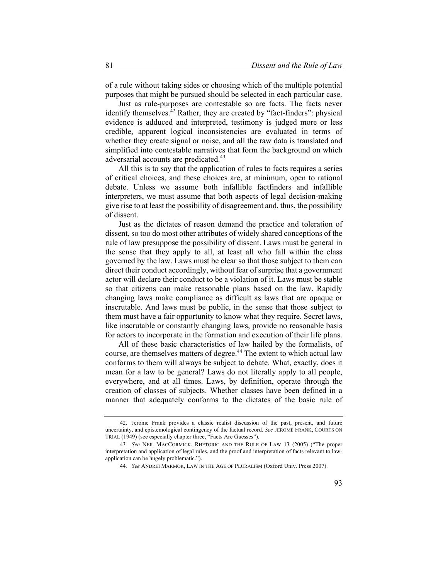of a rule without taking sides or choosing which of the multiple potential purposes that might be pursued should be selected in each particular case.

Just as rule-purposes are contestable so are facts. The facts never identify themselves. $42$  Rather, they are created by "fact-finders": physical evidence is adduced and interpreted, testimony is judged more or less credible, apparent logical inconsistencies are evaluated in terms of whether they create signal or noise, and all the raw data is translated and simplified into contestable narratives that form the background on which adversarial accounts are predicated.<sup>43</sup>

All this is to say that the application of rules to facts requires a series of critical choices, and these choices are, at minimum, open to rational debate. Unless we assume both infallible factfinders and infallible interpreters, we must assume that both aspects of legal decision-making give rise to at least the possibility of disagreement and, thus, the possibility of dissent.

Just as the dictates of reason demand the practice and toleration of dissent, so too do most other attributes of widely shared conceptions of the rule of law presuppose the possibility of dissent. Laws must be general in the sense that they apply to all, at least all who fall within the class governed by the law. Laws must be clear so that those subject to them can direct their conduct accordingly, without fear of surprise that a government actor will declare their conduct to be a violation of it. Laws must be stable so that citizens can make reasonable plans based on the law. Rapidly changing laws make compliance as difficult as laws that are opaque or inscrutable. And laws must be public, in the sense that those subject to them must have a fair opportunity to know what they require. Secret laws, like inscrutable or constantly changing laws, provide no reasonable basis for actors to incorporate in the formation and execution of their life plans.

All of these basic characteristics of law hailed by the formalists, of course, are themselves matters of degree.<sup>44</sup> The extent to which actual law conforms to them will always be subject to debate. What, exactly, does it mean for a law to be general? Laws do not literally apply to all people, everywhere, and at all times. Laws, by definition, operate through the creation of classes of subjects. Whether classes have been defined in a manner that adequately conforms to the dictates of the basic rule of

<sup>42.</sup> Jerome Frank provides a classic realist discussion of the past, present, and future uncertainty, and epistemological contingency of the factual record. *See* JEROME FRANK, COURTS ON TRIAL (1949) (see especially chapter three, "Facts Are Guesses").

<sup>43</sup>*. See* NEIL MACCORMICK, RHETORIC AND THE RULE OF LAW 13 (2005) ("The proper interpretation and application of legal rules, and the proof and interpretation of facts relevant to lawapplication can be hugely problematic.").

<sup>44</sup>*. See* ANDREI MARMOR, LAW IN THE AGE OF PLURALISM (Oxford Univ. Press 2007).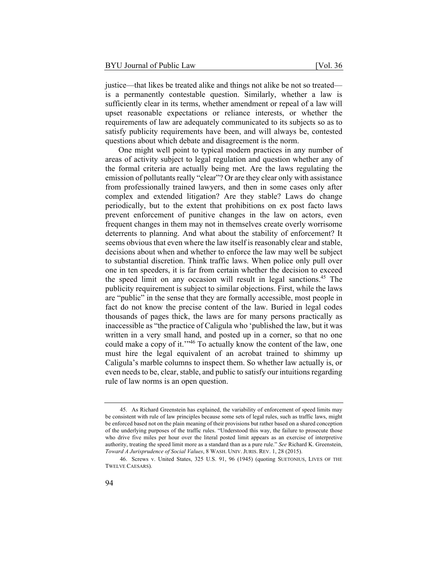justice—that likes be treated alike and things not alike be not so treated is a permanently contestable question. Similarly, whether a law is sufficiently clear in its terms, whether amendment or repeal of a law will upset reasonable expectations or reliance interests, or whether the requirements of law are adequately communicated to its subjects so as to satisfy publicity requirements have been, and will always be, contested questions about which debate and disagreement is the norm.

One might well point to typical modern practices in any number of areas of activity subject to legal regulation and question whether any of the formal criteria are actually being met. Are the laws regulating the emission of pollutants really "clear"? Or are they clear only with assistance from professionally trained lawyers, and then in some cases only after complex and extended litigation? Are they stable? Laws do change periodically, but to the extent that prohibitions on ex post facto laws prevent enforcement of punitive changes in the law on actors, even frequent changes in them may not in themselves create overly worrisome deterrents to planning. And what about the stability of enforcement? It seems obvious that even where the law itself is reasonably clear and stable, decisions about when and whether to enforce the law may well be subject to substantial discretion. Think traffic laws. When police only pull over one in ten speeders, it is far from certain whether the decision to exceed the speed limit on any occasion will result in legal sanctions.<sup>45</sup> The publicity requirement is subject to similar objections. First, while the laws are "public" in the sense that they are formally accessible, most people in fact do not know the precise content of the law. Buried in legal codes thousands of pages thick, the laws are for many persons practically as inaccessible as "the practice of Caligula who 'published the law, but it was written in a very small hand, and posted up in a corner, so that no one could make a copy of it.'"46 To actually know the content of the law, one must hire the legal equivalent of an acrobat trained to shimmy up Caligula's marble columns to inspect them. So whether law actually is, or even needs to be, clear, stable, and public to satisfy our intuitions regarding rule of law norms is an open question.

<sup>45.</sup> As Richard Greenstein has explained, the variability of enforcement of speed limits may be consistent with rule of law principles because some sets of legal rules, such as traffic laws, might be enforced based not on the plain meaning of their provisions but rather based on a shared conception of the underlying purposes of the traffic rules. "Understood this way, the failure to prosecute those who drive five miles per hour over the literal posted limit appears as an exercise of interpretive authority, treating the speed limit more as a standard than as a pure rule." *See* Richard K. Greenstein, *Toward A Jurisprudence of Social Values*, 8 WASH. UNIV. JURIS. REV. 1, 28 (2015).

<sup>46.</sup> Screws v. United States, 325 U.S. 91, 96 (1945) (quoting SUETONIUS, LIVES OF THE TWELVE CAESARS).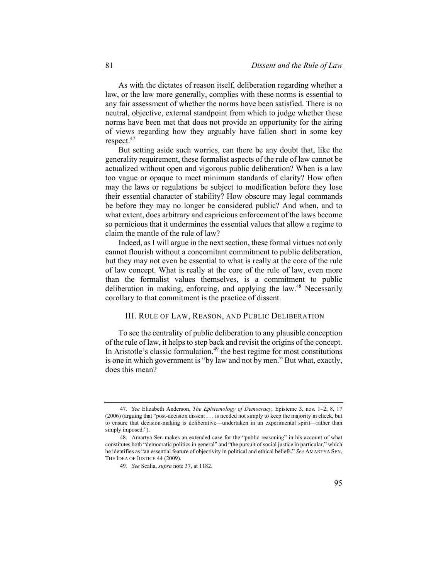As with the dictates of reason itself, deliberation regarding whether a law, or the law more generally, complies with these norms is essential to any fair assessment of whether the norms have been satisfied. There is no neutral, objective, external standpoint from which to judge whether these norms have been met that does not provide an opportunity for the airing of views regarding how they arguably have fallen short in some key respect.<sup>47</sup>

But setting aside such worries, can there be any doubt that, like the generality requirement, these formalist aspects of the rule of law cannot be actualized without open and vigorous public deliberation? When is a law too vague or opaque to meet minimum standards of clarity? How often may the laws or regulations be subject to modification before they lose their essential character of stability? How obscure may legal commands be before they may no longer be considered public? And when, and to what extent, does arbitrary and capricious enforcement of the laws become so pernicious that it undermines the essential values that allow a regime to claim the mantle of the rule of law?

Indeed, as I will argue in the next section, these formal virtues not only cannot flourish without a concomitant commitment to public deliberation, but they may not even be essential to what is really at the core of the rule of law concept. What is really at the core of the rule of law, even more than the formalist values themselves, is a commitment to public deliberation in making, enforcing, and applying the law.<sup>48</sup> Necessarily corollary to that commitment is the practice of dissent.

#### III. RULE OF LAW, REASON, AND PUBLIC DELIBERATION

To see the centrality of public deliberation to any plausible conception of the rule of law, it helps to step back and revisit the origins of the concept. In Aristotle's classic formulation, $49$  the best regime for most constitutions is one in which government is "by law and not by men." But what, exactly, does this mean?

<sup>47</sup>*. See* Elizabeth Anderson, *The Epistemology of Democracy,* Episteme 3, nos. 1–2, 8, 17 (2006) (arguing that "post-decision dissent . . . is needed not simply to keep the majority in check, but to ensure that decision-making is deliberative—undertaken in an experimental spirit—rather than simply imposed.").

<sup>48.</sup> Amartya Sen makes an extended case for the "public reasoning" in his account of what constitutes both "democratic politics in general" and "the pursuit of social justice in particular," which he identifies as "an essential feature of objectivity in political and ethical beliefs." *See* AMARTYA SEN, THE IDEA OF JUSTICE 44 (2009).

<sup>49</sup>*. See* Scalia, *supra* note 37, at 1182.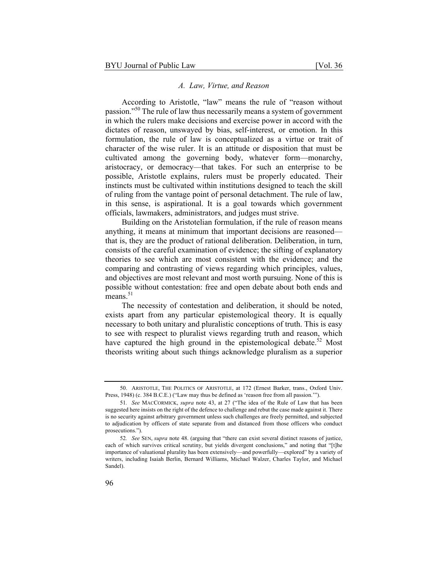#### *A. Law, Virtue, and Reason*

According to Aristotle, "law" means the rule of "reason without passion."50 The rule of law thus necessarily means a system of government in which the rulers make decisions and exercise power in accord with the dictates of reason, unswayed by bias, self-interest, or emotion. In this formulation, the rule of law is conceptualized as a virtue or trait of character of the wise ruler. It is an attitude or disposition that must be cultivated among the governing body, whatever form—monarchy, aristocracy, or democracy—that takes. For such an enterprise to be possible, Aristotle explains, rulers must be properly educated. Their instincts must be cultivated within institutions designed to teach the skill of ruling from the vantage point of personal detachment. The rule of law, in this sense, is aspirational. It is a goal towards which government officials, lawmakers, administrators, and judges must strive.

Building on the Aristotelian formulation, if the rule of reason means anything, it means at minimum that important decisions are reasoned that is, they are the product of rational deliberation. Deliberation, in turn, consists of the careful examination of evidence; the sifting of explanatory theories to see which are most consistent with the evidence; and the comparing and contrasting of views regarding which principles, values, and objectives are most relevant and most worth pursuing. None of this is possible without contestation: free and open debate about both ends and means. $51$ 

The necessity of contestation and deliberation, it should be noted, exists apart from any particular epistemological theory. It is equally necessary to both unitary and pluralistic conceptions of truth. This is easy to see with respect to pluralist views regarding truth and reason, which have captured the high ground in the epistemological debate.<sup>52</sup> Most theorists writing about such things acknowledge pluralism as a superior

<sup>50.</sup> ARISTOTLE, THE POLITICS OF ARISTOTLE, at 172 (Ernest Barker, trans., Oxford Univ. Press, 1948) (c. 384 B.C.E.) ("Law may thus be defined as 'reason free from all passion."").

<sup>51</sup>*. See* MACCORMICK, *supra* note 43, at 27 ("The idea of the Rule of Law that has been suggested here insists on the right of the defence to challenge and rebut the case made against it. There is no security against arbitrary government unless such challenges are freely permitted, and subjected to adjudication by officers of state separate from and distanced from those officers who conduct prosecutions.").

<sup>52</sup>*. See* SEN, *supra* note 48. (arguing that "there can exist several distinct reasons of justice, each of which survives critical scrutiny, but yields divergent conclusions," and noting that "[t]he importance of valuational plurality has been extensively—and powerfully—explored" by a variety of writers, including Isaiah Berlin, Bernard Williams, Michael Walzer, Charles Taylor, and Michael Sandel).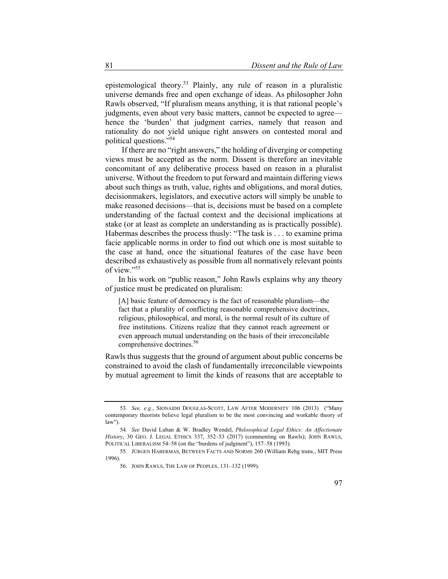epistemological theory.53 Plainly, any rule of reason in a pluralistic universe demands free and open exchange of ideas. As philosopher John Rawls observed, "If pluralism means anything, it is that rational people's judgments, even about very basic matters, cannot be expected to agree hence the 'burden' that judgment carries, namely that reason and rationality do not yield unique right answers on contested moral and political questions."54

If there are no "right answers," the holding of diverging or competing views must be accepted as the norm. Dissent is therefore an inevitable concomitant of any deliberative process based on reason in a pluralist universe. Without the freedom to put forward and maintain differing views about such things as truth, value, rights and obligations, and moral duties, decisionmakers, legislators, and executive actors will simply be unable to make reasoned decisions—that is, decisions must be based on a complete understanding of the factual context and the decisional implications at stake (or at least as complete an understanding as is practically possible). Habermas describes the process thusly: "The task is . . . to examine prima facie applicable norms in order to find out which one is most suitable to the case at hand, once the situational features of the case have been described as exhaustively as possible from all normatively relevant points of view."55

In his work on "public reason," John Rawls explains why any theory of justice must be predicated on pluralism:

[A] basic feature of democracy is the fact of reasonable pluralism—the fact that a plurality of conflicting reasonable comprehensive doctrines, religious, philosophical, and moral, is the normal result of its culture of free institutions. Citizens realize that they cannot reach agreement or even approach mutual understanding on the basis of their irreconcilable comprehensive doctrines.<sup>56</sup>

Rawls thus suggests that the ground of argument about public concerns be constrained to avoid the clash of fundamentally irreconcilable viewpoints by mutual agreement to limit the kinds of reasons that are acceptable to

<sup>53</sup>*. See, e.g.*, SIONAIDH DOUGLAS-SCOTT, LAW AFTER MODERNITY 106 (2013) ("Many contemporary theorists believe legal pluralism to be the most convincing and workable theory of law").

<sup>54</sup>*. See* David Luban & W. Bradley Wendel, *Philosophical Legal Ethics: An Affectionate History*, 30 GEO. J. LEGAL ETHICS 337, 352–53 (2017) (commenting on Rawls); JOHN RAWLS, POLITICAL LIBERALISM 54–58 (on the "burdens of judgment"), 157–58 (1993).

<sup>55.</sup> JÜRGEN HABERMAS, BETWEEN FACTS AND NORMS 260 (William Rehg trans., MIT Press 1996)

<sup>56.</sup> JOHN RAWLS, THE LAW OF PEOPLES, 131–132 (1999).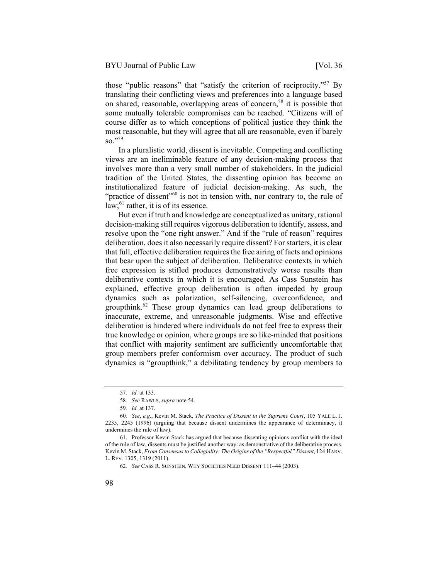those "public reasons" that "satisfy the criterion of reciprocity."57 By translating their conflicting views and preferences into a language based on shared, reasonable, overlapping areas of concern,<sup>58</sup> it is possible that some mutually tolerable compromises can be reached. "Citizens will of course differ as to which conceptions of political justice they think the most reasonable, but they will agree that all are reasonable, even if barely so."59

In a pluralistic world, dissent is inevitable. Competing and conflicting views are an ineliminable feature of any decision-making process that involves more than a very small number of stakeholders. In the judicial tradition of the United States, the dissenting opinion has become an institutionalized feature of judicial decision-making. As such, the "practice of dissent"<sup>60</sup> is not in tension with, nor contrary to, the rule of  $law$ ;<sup>61</sup> rather, it is of its essence.

But even if truth and knowledge are conceptualized as unitary, rational decision-making still requires vigorous deliberation to identify, assess, and resolve upon the "one right answer." And if the "rule of reason" requires deliberation, does it also necessarily require dissent? For starters, it is clear that full, effective deliberation requires the free airing of facts and opinions that bear upon the subject of deliberation. Deliberative contexts in which free expression is stifled produces demonstratively worse results than deliberative contexts in which it is encouraged. As Cass Sunstein has explained, effective group deliberation is often impeded by group dynamics such as polarization, self-silencing, overconfidence, and groupthink.<sup>62</sup> These group dynamics can lead group deliberations to inaccurate, extreme, and unreasonable judgments. Wise and effective deliberation is hindered where individuals do not feel free to express their true knowledge or opinion, where groups are so like-minded that positions that conflict with majority sentiment are sufficiently uncomfortable that group members prefer conformism over accuracy. The product of such dynamics is "groupthink," a debilitating tendency by group members to

<sup>57</sup>*. Id.* at 133.

<sup>58</sup>*. See* RAWLS, *supra* note 54.

<sup>59</sup>*. Id.* at 137.

<sup>60</sup>*. See*, *e.g.*, Kevin M. Stack, *The Practice of Dissent in the Supreme Court*, 105 YALE L. J. 2235, 2245 (1996) (arguing that because dissent undermines the appearance of determinacy, it undermines the rule of law).

<sup>61.</sup> Professor Kevin Stack has argued that because dissenting opinions conflict with the ideal of the rule of law, dissents must be justified another way: as demonstrative of the deliberative process. Kevin M. Stack, *From Consensus to Collegiality: The Origins of the "Respectful" Dissent*, 124 HARV. L. REV. 1305, 1319 (2011).

<sup>62</sup>*. See* CASS R. SUNSTEIN, WHY SOCIETIES NEED DISSENT 111–44 (2003).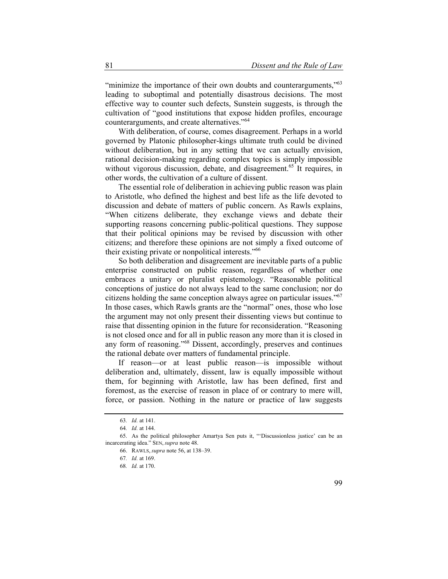"minimize the importance of their own doubts and counterarguments,"<sup>63</sup> leading to suboptimal and potentially disastrous decisions. The most effective way to counter such defects, Sunstein suggests, is through the cultivation of "good institutions that expose hidden profiles, encourage counterarguments, and create alternatives."64

With deliberation, of course, comes disagreement. Perhaps in a world governed by Platonic philosopher-kings ultimate truth could be divined without deliberation, but in any setting that we can actually envision, rational decision-making regarding complex topics is simply impossible without vigorous discussion, debate, and disagreement.<sup>65</sup> It requires, in other words, the cultivation of a culture of dissent.

The essential role of deliberation in achieving public reason was plain to Aristotle, who defined the highest and best life as the life devoted to discussion and debate of matters of public concern. As Rawls explains, "When citizens deliberate, they exchange views and debate their supporting reasons concerning public-political questions. They suppose that their political opinions may be revised by discussion with other citizens; and therefore these opinions are not simply a fixed outcome of their existing private or nonpolitical interests."66

So both deliberation and disagreement are inevitable parts of a public enterprise constructed on public reason, regardless of whether one embraces a unitary or pluralist epistemology. "Reasonable political conceptions of justice do not always lead to the same conclusion; nor do citizens holding the same conception always agree on particular issues."<sup>67</sup> In those cases, which Rawls grants are the "normal" ones, those who lose the argument may not only present their dissenting views but continue to raise that dissenting opinion in the future for reconsideration. "Reasoning is not closed once and for all in public reason any more than it is closed in any form of reasoning."68 Dissent, accordingly, preserves and continues the rational debate over matters of fundamental principle.

If reason—or at least public reason—is impossible without deliberation and, ultimately, dissent, law is equally impossible without them, for beginning with Aristotle, law has been defined, first and foremost, as the exercise of reason in place of or contrary to mere will, force, or passion. Nothing in the nature or practice of law suggests

<sup>63</sup>*. Id.* at 141.

<sup>64</sup>*. Id.* at 144.

<sup>65.</sup> As the political philosopher Amartya Sen puts it, "'Discussionless justice' can be an incarcerating idea." SEN, *supra* note 48.

<sup>66.</sup> RAWLS, *supra* note 56, at 138–39.

<sup>67</sup>*. Id.* at 169.

<sup>68</sup>*. Id.* at 170.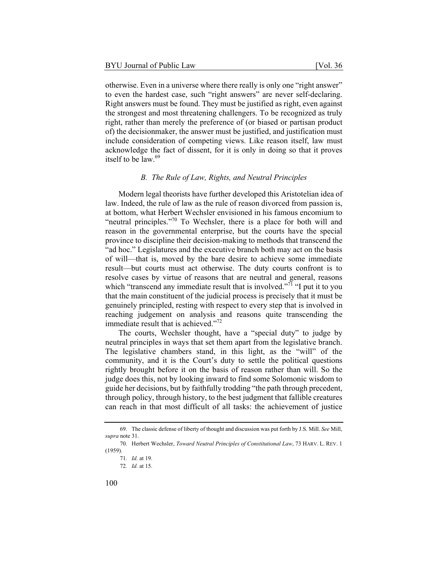otherwise. Even in a universe where there really is only one "right answer" to even the hardest case, such "right answers" are never self-declaring. Right answers must be found. They must be justified as right, even against the strongest and most threatening challengers. To be recognized as truly right, rather than merely the preference of (or biased or partisan product of) the decisionmaker, the answer must be justified, and justification must include consideration of competing views. Like reason itself, law must acknowledge the fact of dissent, for it is only in doing so that it proves itself to be  $law<sup>69</sup>$ 

#### *B. The Rule of Law, Rights, and Neutral Principles*

Modern legal theorists have further developed this Aristotelian idea of law. Indeed, the rule of law as the rule of reason divorced from passion is, at bottom, what Herbert Wechsler envisioned in his famous encomium to "neutral principles."70 To Wechsler, there is a place for both will and reason in the governmental enterprise, but the courts have the special province to discipline their decision-making to methods that transcend the "ad hoc." Legislatures and the executive branch both may act on the basis of will—that is, moved by the bare desire to achieve some immediate result—but courts must act otherwise. The duty courts confront is to resolve cases by virtue of reasons that are neutral and general, reasons which "transcend any immediate result that is involved."<sup>71</sup> "I put it to you that the main constituent of the judicial process is precisely that it must be genuinely principled, resting with respect to every step that is involved in reaching judgement on analysis and reasons quite transcending the immediate result that is achieved."<sup>72</sup>

The courts, Wechsler thought, have a "special duty" to judge by neutral principles in ways that set them apart from the legislative branch. The legislative chambers stand, in this light, as the "will" of the community, and it is the Court's duty to settle the political questions rightly brought before it on the basis of reason rather than will. So the judge does this, not by looking inward to find some Solomonic wisdom to guide her decisions, but by faithfully trodding "the path through precedent, through policy, through history, to the best judgment that fallible creatures can reach in that most difficult of all tasks: the achievement of justice

<sup>69.</sup> The classic defense of liberty of thought and discussion was put forth by J.S. Mill. *See* Mill, *supra* note 31.

<sup>70.</sup> Herbert Wechsler, *Toward Neutral Principles of Constitutional Law*, 73 HARV. L. REV. 1 (1959).

<sup>71</sup>*. Id.* at 19.

<sup>72</sup>*. Id.* at 15.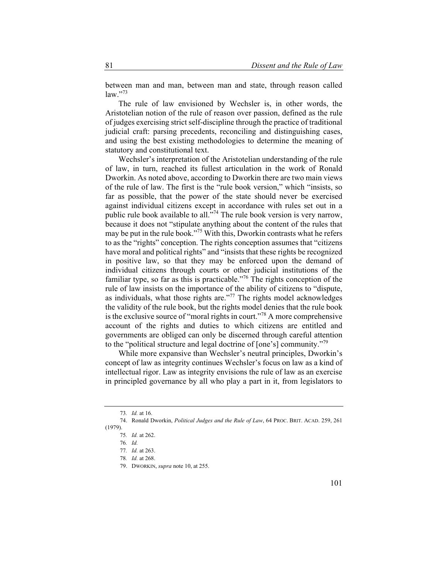between man and man, between man and state, through reason called  $law.$ "73

The rule of law envisioned by Wechsler is, in other words, the Aristotelian notion of the rule of reason over passion, defined as the rule of judges exercising strict self-discipline through the practice of traditional judicial craft: parsing precedents, reconciling and distinguishing cases, and using the best existing methodologies to determine the meaning of statutory and constitutional text.

Wechsler's interpretation of the Aristotelian understanding of the rule of law, in turn, reached its fullest articulation in the work of Ronald Dworkin. As noted above, according to Dworkin there are two main views of the rule of law. The first is the "rule book version," which "insists, so far as possible, that the power of the state should never be exercised against individual citizens except in accordance with rules set out in a public rule book available to all. $\frac{1}{2}$ . The rule book version is very narrow, because it does not "stipulate anything about the content of the rules that may be put in the rule book."<sup>75</sup> With this, Dworkin contrasts what he refers to as the "rights" conception. The rights conception assumes that "citizens have moral and political rights" and "insists that these rights be recognized in positive law, so that they may be enforced upon the demand of individual citizens through courts or other judicial institutions of the familiar type, so far as this is practicable."<sup>76</sup> The rights conception of the rule of law insists on the importance of the ability of citizens to "dispute, as individuals, what those rights are."77 The rights model acknowledges the validity of the rule book, but the rights model denies that the rule book is the exclusive source of "moral rights in court."<sup>78</sup> A more comprehensive account of the rights and duties to which citizens are entitled and governments are obliged can only be discerned through careful attention to the "political structure and legal doctrine of [one's] community."79

While more expansive than Wechsler's neutral principles, Dworkin's concept of law as integrity continues Wechsler's focus on law as a kind of intellectual rigor. Law as integrity envisions the rule of law as an exercise in principled governance by all who play a part in it, from legislators to

<sup>73</sup>*. Id.* at 16.

<sup>74.</sup> Ronald Dworkin, *Political Judges and the Rule of Law*, 64 PROC. BRIT. ACAD. 259, 261 (1979).

<sup>75</sup>*. Id.* at 262.

<sup>76</sup>*. Id.*

<sup>77</sup>*. Id.* at 263.

<sup>78</sup>*. Id.* at 268.

<sup>79.</sup> DWORKIN, *supra* note 10, at 255.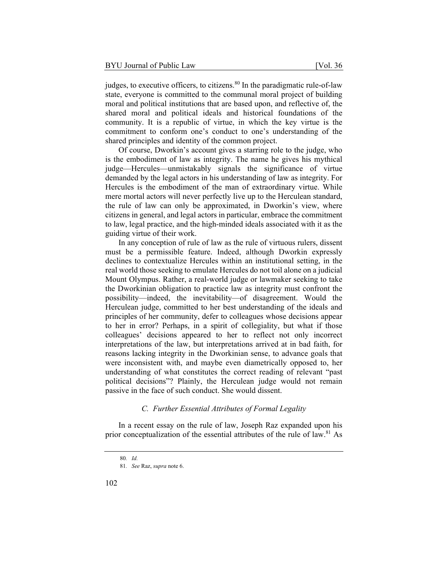judges, to executive officers, to citizens.<sup>80</sup> In the paradigmatic rule-of-law state, everyone is committed to the communal moral project of building moral and political institutions that are based upon, and reflective of, the shared moral and political ideals and historical foundations of the community. It is a republic of virtue, in which the key virtue is the commitment to conform one's conduct to one's understanding of the shared principles and identity of the common project.

Of course, Dworkin's account gives a starring role to the judge, who is the embodiment of law as integrity. The name he gives his mythical judge—Hercules—unmistakably signals the significance of virtue demanded by the legal actors in his understanding of law as integrity. For Hercules is the embodiment of the man of extraordinary virtue. While mere mortal actors will never perfectly live up to the Herculean standard, the rule of law can only be approximated, in Dworkin's view, where citizens in general, and legal actors in particular, embrace the commitment to law, legal practice, and the high-minded ideals associated with it as the guiding virtue of their work.

In any conception of rule of law as the rule of virtuous rulers, dissent must be a permissible feature. Indeed, although Dworkin expressly declines to contextualize Hercules within an institutional setting, in the real world those seeking to emulate Hercules do not toil alone on a judicial Mount Olympus. Rather, a real-world judge or lawmaker seeking to take the Dworkinian obligation to practice law as integrity must confront the possibility—indeed, the inevitability—of disagreement. Would the Herculean judge, committed to her best understanding of the ideals and principles of her community, defer to colleagues whose decisions appear to her in error? Perhaps, in a spirit of collegiality, but what if those colleagues' decisions appeared to her to reflect not only incorrect interpretations of the law, but interpretations arrived at in bad faith, for reasons lacking integrity in the Dworkinian sense, to advance goals that were inconsistent with, and maybe even diametrically opposed to, her understanding of what constitutes the correct reading of relevant "past political decisions"? Plainly, the Herculean judge would not remain passive in the face of such conduct. She would dissent.

#### *C. Further Essential Attributes of Formal Legality*

In a recent essay on the rule of law, Joseph Raz expanded upon his prior conceptualization of the essential attributes of the rule of law. $81$  As

<sup>80</sup>*. Id.*

<sup>81</sup>*. See* Raz, *supra* note 6.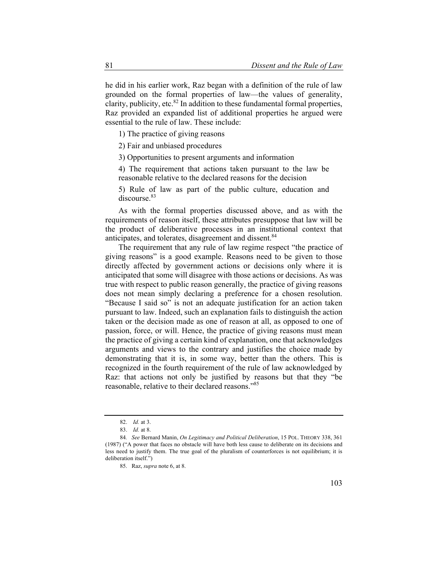he did in his earlier work, Raz began with a definition of the rule of law grounded on the formal properties of law—the values of generality, clarity, publicity, etc. $82$  In addition to these fundamental formal properties, Raz provided an expanded list of additional properties he argued were essential to the rule of law. These include:

1) The practice of giving reasons

2) Fair and unbiased procedures

3) Opportunities to present arguments and information

4) The requirement that actions taken pursuant to the law be reasonable relative to the declared reasons for the decision

5) Rule of law as part of the public culture, education and discourse.<sup>83</sup>

As with the formal properties discussed above, and as with the requirements of reason itself, these attributes presuppose that law will be the product of deliberative processes in an institutional context that anticipates, and tolerates, disagreement and dissent.<sup>84</sup>

The requirement that any rule of law regime respect "the practice of giving reasons" is a good example. Reasons need to be given to those directly affected by government actions or decisions only where it is anticipated that some will disagree with those actions or decisions. As was true with respect to public reason generally, the practice of giving reasons does not mean simply declaring a preference for a chosen resolution. "Because I said so" is not an adequate justification for an action taken pursuant to law. Indeed, such an explanation fails to distinguish the action taken or the decision made as one of reason at all, as opposed to one of passion, force, or will. Hence, the practice of giving reasons must mean the practice of giving a certain kind of explanation, one that acknowledges arguments and views to the contrary and justifies the choice made by demonstrating that it is, in some way, better than the others. This is recognized in the fourth requirement of the rule of law acknowledged by Raz: that actions not only be justified by reasons but that they "be reasonable, relative to their declared reasons."85

<sup>82.</sup> *Id.* at 3.

<sup>83.</sup> *Id.* at 8.

<sup>84</sup>*. See* Bernard Manin, *On Legitimacy and Political Deliberation*, 15 POL. THEORY 338, 361 (1987) ("A power that faces no obstacle will have both less cause to deliberate on its decisions and less need to justify them. The true goal of the pluralism of counterforces is not equilibrium; it is deliberation itself.")

<sup>85.</sup> Raz, *supra* note 6, at 8.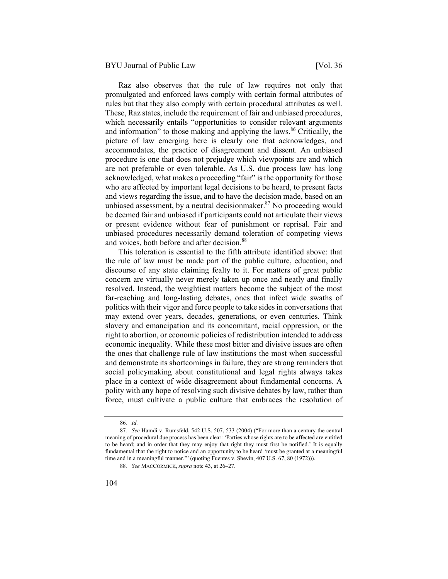Raz also observes that the rule of law requires not only that promulgated and enforced laws comply with certain formal attributes of rules but that they also comply with certain procedural attributes as well. These, Raz states, include the requirement of fair and unbiased procedures, which necessarily entails "opportunities to consider relevant arguments and information" to those making and applying the laws.<sup>86</sup> Critically, the picture of law emerging here is clearly one that acknowledges, and accommodates, the practice of disagreement and dissent. An unbiased procedure is one that does not prejudge which viewpoints are and which are not preferable or even tolerable. As U.S. due process law has long acknowledged, what makes a proceeding "fair" is the opportunity for those who are affected by important legal decisions to be heard, to present facts and views regarding the issue, and to have the decision made, based on an unbiased assessment, by a neutral decision maker.<sup>87</sup> No proceeding would be deemed fair and unbiased if participants could not articulate their views or present evidence without fear of punishment or reprisal. Fair and unbiased procedures necessarily demand toleration of competing views and voices, both before and after decision.<sup>88</sup>

This toleration is essential to the fifth attribute identified above: that the rule of law must be made part of the public culture, education, and discourse of any state claiming fealty to it. For matters of great public concern are virtually never merely taken up once and neatly and finally resolved. Instead, the weightiest matters become the subject of the most far-reaching and long-lasting debates, ones that infect wide swaths of politics with their vigor and force people to take sides in conversations that may extend over years, decades, generations, or even centuries. Think slavery and emancipation and its concomitant, racial oppression, or the right to abortion, or economic policies of redistribution intended to address economic inequality. While these most bitter and divisive issues are often the ones that challenge rule of law institutions the most when successful and demonstrate its shortcomings in failure, they are strong reminders that social policymaking about constitutional and legal rights always takes place in a context of wide disagreement about fundamental concerns. A polity with any hope of resolving such divisive debates by law, rather than force, must cultivate a public culture that embraces the resolution of

<sup>86</sup>*. Id.*

<sup>87</sup>*. See* Hamdi v. Rumsfeld, 542 U.S. 507, 533 (2004) ("For more than a century the central meaning of procedural due process has been clear: 'Parties whose rights are to be affected are entitled to be heard; and in order that they may enjoy that right they must first be notified.' It is equally fundamental that the right to notice and an opportunity to be heard 'must be granted at a meaningful time and in a meaningful manner.'" (quoting Fuentes v. Shevin, 407 U.S. 67, 80 (1972))).

<sup>88</sup>*. See* MACCORMICK, *supra* note 43, at 26–27.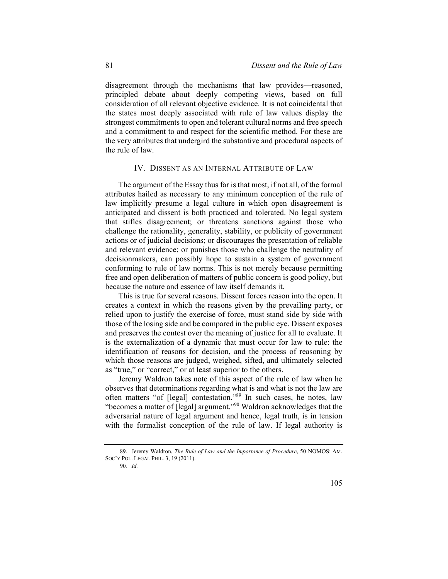disagreement through the mechanisms that law provides—reasoned, principled debate about deeply competing views, based on full consideration of all relevant objective evidence. It is not coincidental that the states most deeply associated with rule of law values display the strongest commitments to open and tolerant cultural norms and free speech and a commitment to and respect for the scientific method. For these are the very attributes that undergird the substantive and procedural aspects of the rule of law.

### IV. DISSENT AS AN INTERNAL ATTRIBUTE OF LAW

The argument of the Essay thus far is that most, if not all, of the formal attributes hailed as necessary to any minimum conception of the rule of law implicitly presume a legal culture in which open disagreement is anticipated and dissent is both practiced and tolerated. No legal system that stifles disagreement; or threatens sanctions against those who challenge the rationality, generality, stability, or publicity of government actions or of judicial decisions; or discourages the presentation of reliable and relevant evidence; or punishes those who challenge the neutrality of decisionmakers, can possibly hope to sustain a system of government conforming to rule of law norms. This is not merely because permitting free and open deliberation of matters of public concern is good policy, but because the nature and essence of law itself demands it.

This is true for several reasons. Dissent forces reason into the open. It creates a context in which the reasons given by the prevailing party, or relied upon to justify the exercise of force, must stand side by side with those of the losing side and be compared in the public eye. Dissent exposes and preserves the contest over the meaning of justice for all to evaluate. It is the externalization of a dynamic that must occur for law to rule: the identification of reasons for decision, and the process of reasoning by which those reasons are judged, weighed, sifted, and ultimately selected as "true," or "correct," or at least superior to the others.

Jeremy Waldron takes note of this aspect of the rule of law when he observes that determinations regarding what is and what is not the law are often matters "of [legal] contestation."89 In such cases, he notes, law "becomes a matter of [legal] argument."90 Waldron acknowledges that the adversarial nature of legal argument and hence, legal truth, is in tension with the formalist conception of the rule of law. If legal authority is

90*. Id.*

<sup>89.</sup> Jeremy Waldron, *The Rule of Law and the Importance of Procedure*, 50 NOMOS: AM. SOC'Y POL. LEGAL PHIL. 3, 19 (2011).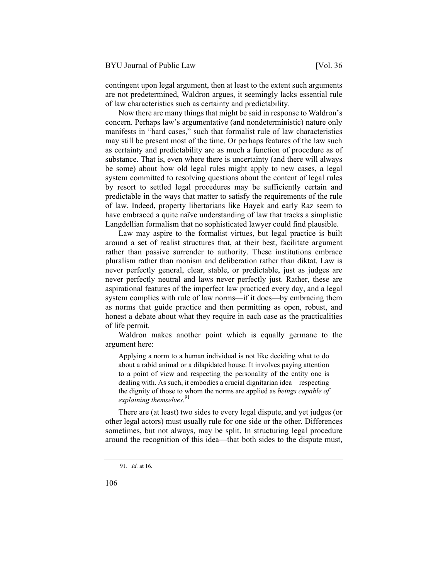contingent upon legal argument, then at least to the extent such arguments are not predetermined, Waldron argues, it seemingly lacks essential rule of law characteristics such as certainty and predictability.

Now there are many things that might be said in response to Waldron's concern. Perhaps law's argumentative (and nondeterministic) nature only manifests in "hard cases," such that formalist rule of law characteristics may still be present most of the time. Or perhaps features of the law such as certainty and predictability are as much a function of procedure as of substance. That is, even where there is uncertainty (and there will always be some) about how old legal rules might apply to new cases, a legal system committed to resolving questions about the content of legal rules by resort to settled legal procedures may be sufficiently certain and predictable in the ways that matter to satisfy the requirements of the rule of law. Indeed, property libertarians like Hayek and early Raz seem to have embraced a quite naïve understanding of law that tracks a simplistic Langdellian formalism that no sophisticated lawyer could find plausible.

Law may aspire to the formalist virtues, but legal practice is built around a set of realist structures that, at their best, facilitate argument rather than passive surrender to authority. These institutions embrace pluralism rather than monism and deliberation rather than diktat. Law is never perfectly general, clear, stable, or predictable, just as judges are never perfectly neutral and laws never perfectly just. Rather, these are aspirational features of the imperfect law practiced every day, and a legal system complies with rule of law norms—if it does—by embracing them as norms that guide practice and then permitting as open, robust, and honest a debate about what they require in each case as the practicalities of life permit.

Waldron makes another point which is equally germane to the argument here:

Applying a norm to a human individual is not like deciding what to do about a rabid animal or a dilapidated house. It involves paying attention to a point of view and respecting the personality of the entity one is dealing with. As such, it embodies a crucial dignitarian idea—respecting the dignity of those to whom the norms are applied as *beings capable of explaining themselves*. 91

There are (at least) two sides to every legal dispute, and yet judges (or other legal actors) must usually rule for one side or the other. Differences sometimes, but not always, may be split. In structuring legal procedure around the recognition of this idea—that both sides to the dispute must,

<sup>91</sup>*. Id.* at 16.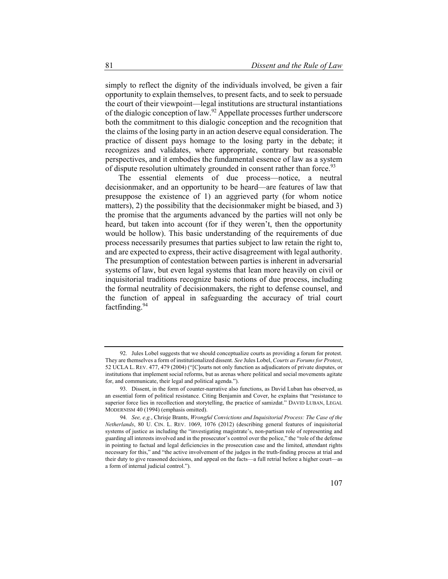simply to reflect the dignity of the individuals involved, be given a fair opportunity to explain themselves, to present facts, and to seek to persuade the court of their viewpoint—legal institutions are structural instantiations of the dialogic conception of law.<sup>92</sup> Appellate processes further underscore both the commitment to this dialogic conception and the recognition that the claims of the losing party in an action deserve equal consideration. The practice of dissent pays homage to the losing party in the debate; it recognizes and validates, where appropriate, contrary but reasonable perspectives, and it embodies the fundamental essence of law as a system of dispute resolution ultimately grounded in consent rather than force.<sup>93</sup>

The essential elements of due process—notice, a neutral decisionmaker, and an opportunity to be heard—are features of law that presuppose the existence of 1) an aggrieved party (for whom notice matters), 2) the possibility that the decisionmaker might be biased, and 3) the promise that the arguments advanced by the parties will not only be heard, but taken into account (for if they weren't, then the opportunity would be hollow). This basic understanding of the requirements of due process necessarily presumes that parties subject to law retain the right to, and are expected to express, their active disagreement with legal authority. The presumption of contestation between parties is inherent in adversarial systems of law, but even legal systems that lean more heavily on civil or inquisitorial traditions recognize basic notions of due process, including the formal neutrality of decisionmakers, the right to defense counsel, and the function of appeal in safeguarding the accuracy of trial court factfinding.<sup>94</sup>

<sup>92.</sup> Jules Lobel suggests that we should conceptualize courts as providing a forum for protest. They are themselves a form of institutionalized dissent. *See* Jules Lobel, *Courts as Forums for Protest*, 52 UCLA L. REV. 477, 479 (2004) ("[C]ourts not only function as adjudicators of private disputes, or institutions that implement social reforms, but as arenas where political and social movements agitate for, and communicate, their legal and political agenda.").

<sup>93.</sup> Dissent, in the form of counter-narrative also functions, as David Luban has observed, as an essential form of political resistance. Citing Benjamin and Cover, he explains that "resistance to superior force lies in recollection and storytelling, the practice of samizdat." DAVID LUBAN, LEGAL MODERNISM 40 (1994) (emphasis omitted).

<sup>94</sup>*. See, e.g.*, Chrisje Brants, *Wrongful Convictions and Inquisitorial Process: The Case of the Netherlands*, 80 U. CIN. L. REV. 1069, 1076 (2012) (describing general features of inquisitorial systems of justice as including the "investigating magistrate's, non-partisan role of representing and guarding all interests involved and in the prosecutor's control over the police," the "role of the defense in pointing to factual and legal deficiencies in the prosecution case and the limited, attendant rights necessary for this," and "the active involvement of the judges in the truth-finding process at trial and their duty to give reasoned decisions, and appeal on the facts—a full retrial before a higher court—as a form of internal judicial control.").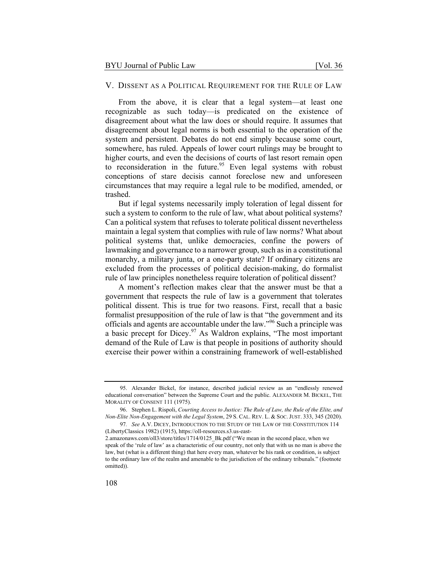#### V. DISSENT AS A POLITICAL REQUIREMENT FOR THE RULE OF LAW

From the above, it is clear that a legal system—at least one recognizable as such today—is predicated on the existence of disagreement about what the law does or should require. It assumes that disagreement about legal norms is both essential to the operation of the system and persistent. Debates do not end simply because some court, somewhere, has ruled. Appeals of lower court rulings may be brought to higher courts, and even the decisions of courts of last resort remain open to reconsideration in the future.<sup>95</sup> Even legal systems with robust conceptions of stare decisis cannot foreclose new and unforeseen circumstances that may require a legal rule to be modified, amended, or trashed.

But if legal systems necessarily imply toleration of legal dissent for such a system to conform to the rule of law, what about political systems? Can a political system that refuses to tolerate political dissent nevertheless maintain a legal system that complies with rule of law norms? What about political systems that, unlike democracies, confine the powers of lawmaking and governance to a narrower group, such as in a constitutional monarchy, a military junta, or a one-party state? If ordinary citizens are excluded from the processes of political decision-making, do formalist rule of law principles nonetheless require toleration of political dissent?

A moment's reflection makes clear that the answer must be that a government that respects the rule of law is a government that tolerates political dissent. This is true for two reasons. First, recall that a basic formalist presupposition of the rule of law is that "the government and its officials and agents are accountable under the law."96 Such a principle was a basic precept for Dicey. $97$  As Waldron explains, "The most important demand of the Rule of Law is that people in positions of authority should exercise their power within a constraining framework of well-established

<sup>95.</sup> Alexander Bickel, for instance, described judicial review as an "endlessly renewed educational conversation" between the Supreme Court and the public. ALEXANDER M. BICKEL, THE MORALITY OF CONSENT 111 (1975).

<sup>96.</sup> Stephen L. Rispoli, *Courting Access to Justice: The Rule of Law, the Rule of the Elite, and Non-Elite Non-Engagement with the Legal System*, 29 S. CAL. REV. L. & SOC. JUST. 333, 345 (2020).

<sup>97</sup>*. See* A.V. DICEY, INTRODUCTION TO THE STUDY OF THE LAW OF THE CONSTITUTION 114 (LibertyClassics 1982) (1915), https://oll-resources.s3.us-east-

<sup>2.</sup>amazonaws.com/oll3/store/titles/1714/0125\_Bk.pdf ("We mean in the second place, when we speak of the 'rule of law' as a characteristic of our country, not only that with us no man is above the law, but (what is a different thing) that here every man, whatever be his rank or condition, is subject to the ordinary law of the realm and amenable to the jurisdiction of the ordinary tribunals." (footnote omitted)).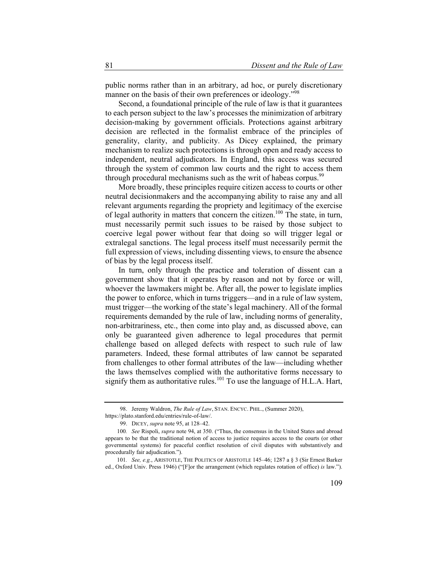public norms rather than in an arbitrary, ad hoc, or purely discretionary manner on the basis of their own preferences or ideology."<sup>98</sup>

Second, a foundational principle of the rule of law is that it guarantees to each person subject to the law's processes the minimization of arbitrary decision-making by government officials. Protections against arbitrary decision are reflected in the formalist embrace of the principles of generality, clarity, and publicity. As Dicey explained, the primary mechanism to realize such protections is through open and ready access to independent, neutral adjudicators. In England, this access was secured through the system of common law courts and the right to access them through procedural mechanisms such as the writ of habeas corpus.<sup>99</sup>

More broadly, these principles require citizen access to courts or other neutral decisionmakers and the accompanying ability to raise any and all relevant arguments regarding the propriety and legitimacy of the exercise of legal authority in matters that concern the citizen.<sup>100</sup> The state, in turn, must necessarily permit such issues to be raised by those subject to coercive legal power without fear that doing so will trigger legal or extralegal sanctions. The legal process itself must necessarily permit the full expression of views, including dissenting views, to ensure the absence of bias by the legal process itself.

In turn, only through the practice and toleration of dissent can a government show that it operates by reason and not by force or will, whoever the lawmakers might be. After all, the power to legislate implies the power to enforce, which in turns triggers—and in a rule of law system, must trigger—the working of the state's legal machinery. All of the formal requirements demanded by the rule of law, including norms of generality, non-arbitrariness, etc., then come into play and, as discussed above, can only be guaranteed given adherence to legal procedures that permit challenge based on alleged defects with respect to such rule of law parameters. Indeed, these formal attributes of law cannot be separated from challenges to other formal attributes of the law—including whether the laws themselves complied with the authoritative forms necessary to signify them as authoritative rules.<sup>101</sup> To use the language of H.L.A. Hart,

<sup>98.</sup> Jeremy Waldron, *The Rule of Law*, STAN. ENCYC. PHIL., (Summer 2020), https://plato.stanford.edu/entries/rule-of-law/.

<sup>99.</sup> DICEY, *supra* note 95, at 128–42.

<sup>100</sup>*. See* Rispoli, *supra* note 94, at 350. ("Thus, the consensus in the United States and abroad appears to be that the traditional notion of access to justice requires access to the courts (or other governmental systems) for peaceful conflict resolution of civil disputes with substantively and procedurally fair adjudication.").

<sup>101</sup>*. See, e.g.*, ARISTOTLE, THE POLITICS OF ARISTOTLE 145–46; 1287 a § 3 (Sir Ernest Barker ed., Oxford Univ. Press 1946) ("[F]or the arrangement (which regulates rotation of office) *is* law.").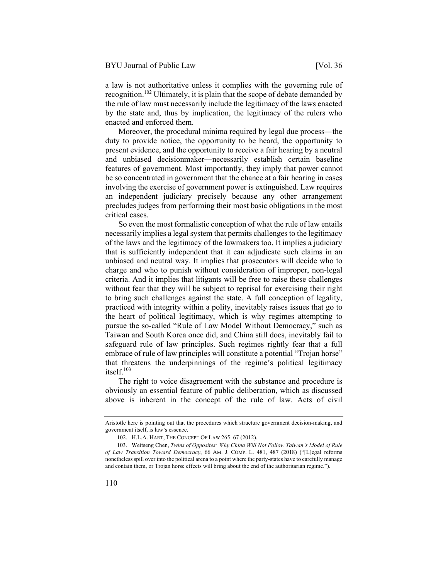a law is not authoritative unless it complies with the governing rule of recognition.102 Ultimately, it is plain that the scope of debate demanded by the rule of law must necessarily include the legitimacy of the laws enacted by the state and, thus by implication, the legitimacy of the rulers who enacted and enforced them.

Moreover, the procedural minima required by legal due process—the duty to provide notice, the opportunity to be heard, the opportunity to present evidence, and the opportunity to receive a fair hearing by a neutral and unbiased decisionmaker—necessarily establish certain baseline features of government. Most importantly, they imply that power cannot be so concentrated in government that the chance at a fair hearing in cases involving the exercise of government power is extinguished. Law requires an independent judiciary precisely because any other arrangement precludes judges from performing their most basic obligations in the most critical cases.

So even the most formalistic conception of what the rule of law entails necessarily implies a legal system that permits challenges to the legitimacy of the laws and the legitimacy of the lawmakers too. It implies a judiciary that is sufficiently independent that it can adjudicate such claims in an unbiased and neutral way. It implies that prosecutors will decide who to charge and who to punish without consideration of improper, non-legal criteria. And it implies that litigants will be free to raise these challenges without fear that they will be subject to reprisal for exercising their right to bring such challenges against the state. A full conception of legality, practiced with integrity within a polity, inevitably raises issues that go to the heart of political legitimacy, which is why regimes attempting to pursue the so-called "Rule of Law Model Without Democracy," such as Taiwan and South Korea once did, and China still does, inevitably fail to safeguard rule of law principles. Such regimes rightly fear that a full embrace of rule of law principles will constitute a potential "Trojan horse" that threatens the underpinnings of the regime's political legitimacy itself. $103$ 

The right to voice disagreement with the substance and procedure is obviously an essential feature of public deliberation, which as discussed above is inherent in the concept of the rule of law. Acts of civil

Aristotle here is pointing out that the procedures which structure government decision-making, and government itself, is law's essence.

<sup>102.</sup> H.L.A. HART, THE CONCEPT OF LAW 265–67 (2012).

<sup>103.</sup> Weitseng Chen, *Twins of Opposites: Why China Will Not Follow Taiwan's Model of Rule of Law Transition Toward Democracy*, 66 AM. J. COMP. L. 481, 487 (2018) ("[L]egal reforms nonetheless spill over into the political arena to a point where the party-states have to carefully manage and contain them, or Trojan horse effects will bring about the end of the authoritarian regime.").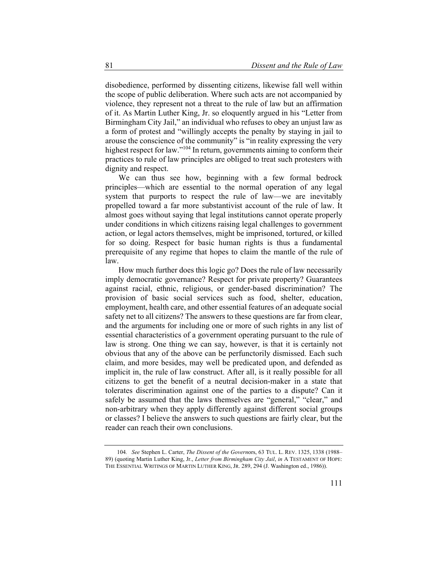disobedience, performed by dissenting citizens, likewise fall well within the scope of public deliberation. Where such acts are not accompanied by violence, they represent not a threat to the rule of law but an affirmation of it. As Martin Luther King, Jr. so eloquently argued in his "Letter from Birmingham City Jail," an individual who refuses to obey an unjust law as a form of protest and "willingly accepts the penalty by staying in jail to arouse the conscience of the community" is "in reality expressing the very highest respect for law."<sup>104</sup> In return, governments aiming to conform their practices to rule of law principles are obliged to treat such protesters with dignity and respect.

We can thus see how, beginning with a few formal bedrock principles—which are essential to the normal operation of any legal system that purports to respect the rule of law—we are inevitably propelled toward a far more substantivist account of the rule of law. It almost goes without saying that legal institutions cannot operate properly under conditions in which citizens raising legal challenges to government action, or legal actors themselves, might be imprisoned, tortured, or killed for so doing. Respect for basic human rights is thus a fundamental prerequisite of any regime that hopes to claim the mantle of the rule of law.

How much further does this logic go? Does the rule of law necessarily imply democratic governance? Respect for private property? Guarantees against racial, ethnic, religious, or gender-based discrimination? The provision of basic social services such as food, shelter, education, employment, health care, and other essential features of an adequate social safety net to all citizens? The answers to these questions are far from clear, and the arguments for including one or more of such rights in any list of essential characteristics of a government operating pursuant to the rule of law is strong. One thing we can say, however, is that it is certainly not obvious that any of the above can be perfunctorily dismissed. Each such claim, and more besides, may well be predicated upon, and defended as implicit in, the rule of law construct. After all, is it really possible for all citizens to get the benefit of a neutral decision-maker in a state that tolerates discrimination against one of the parties to a dispute? Can it safely be assumed that the laws themselves are "general," "clear," and non-arbitrary when they apply differently against different social groups or classes? I believe the answers to such questions are fairly clear, but the reader can reach their own conclusions.

<sup>104</sup>*. See* Stephen L. Carter, *The Dissent of the Govern*ors, 63 TUL. L. REV. 1325, 1338 (1988– 89) (quoting Martin Luther King, Jr., *Letter from Birmingham City Jail*, *in* A TESTAMENT OF HOPE: THE ESSENTIAL WRITINGS OF MARTIN LUTHER KING, JR. 289, 294 (J. Washington ed., 1986)).